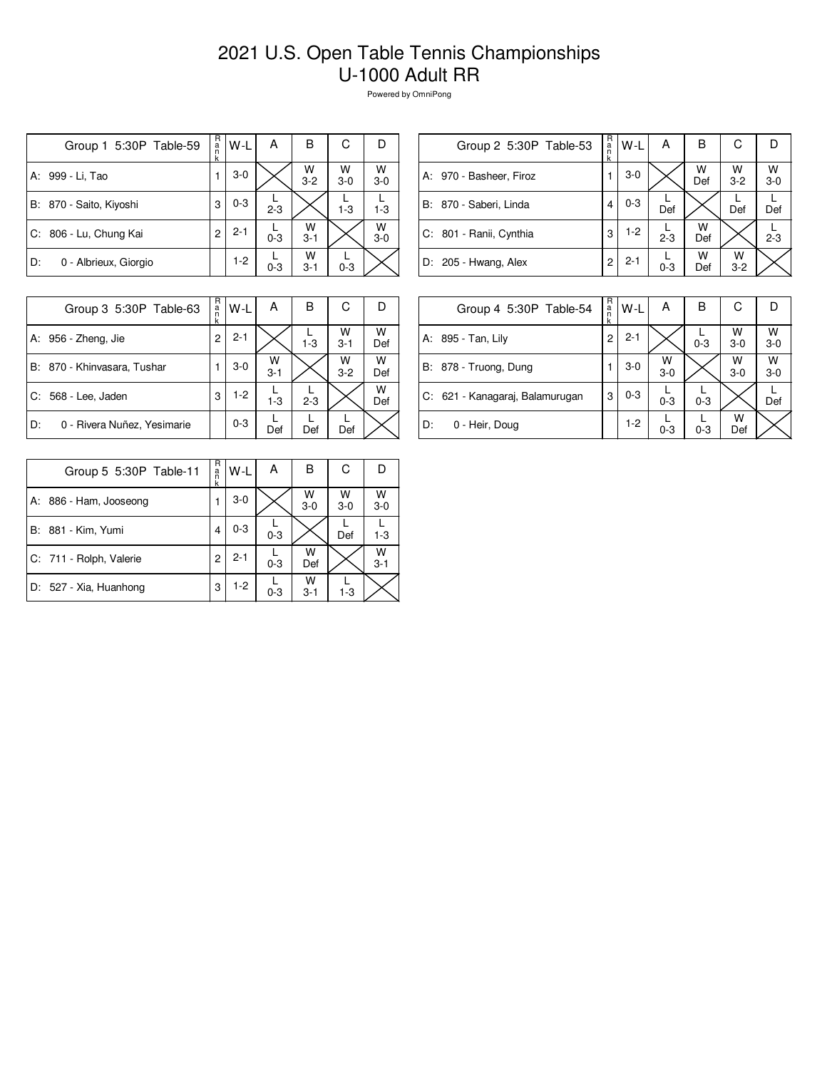## 2021 U.S. Open Table Tennis Championships U-1000 Adult RR

Powered by OmniPong

| Group 1 5:30P Table-59      | R<br>a<br>n<br>k | W-L     | А       | В            | С          | D          |
|-----------------------------|------------------|---------|---------|--------------|------------|------------|
| A: 999 - Li, Tao            |                  | $3-0$   |         | W<br>$3 - 2$ | W<br>$3-0$ | W<br>$3-0$ |
| B: 870 - Saito, Kiyoshi     | 3                | $0 - 3$ | $2 - 3$ |              | $1 - 3$    | $1 - 3$    |
| C: 806 - Lu, Chung Kai      | 2                | $2 - 1$ | $0 - 3$ | W<br>$3 - 1$ |            | W<br>$3-0$ |
| 0 - Albrieux, Giorgio<br>D: |                  | $1-2$   | $0 - 3$ | w<br>$3 - 1$ | $0 - 3$    |            |

| Group 2 5:30P Table-53  | R<br>a<br>n<br>k | W-L     | А       | в        | С            | I)           |
|-------------------------|------------------|---------|---------|----------|--------------|--------------|
| A: 970 - Basheer, Firoz |                  | $3-0$   |         | W<br>Def | W<br>$3 - 2$ | W<br>$3 - 0$ |
| B: 870 - Saberi, Linda  |                  | $0 - 3$ | Def     |          | Def          | Def          |
| C: 801 - Ranii, Cynthia | 3                | $1-2$   | $2 - 3$ | W<br>Def |              | $2 - 3$      |
| D: 205 - Hwang, Alex    | 2                | $2 - 1$ | $0 - 3$ | w<br>Def | w<br>$3 - 2$ |              |

|    | Group 3 5:30P Table-63      | R<br>a<br>n<br>k | $W-L$   | Α            | B       | С            |          |
|----|-----------------------------|------------------|---------|--------------|---------|--------------|----------|
|    | A: 956 - Zheng, Jie         | $\overline{c}$   | $2 - 1$ |              | $1 - 3$ | W<br>$3 - 1$ | w<br>Def |
|    | B: 870 - Khinvasara, Tushar |                  | $3-0$   | W<br>$3 - 1$ |         | W<br>$3 - 2$ | W<br>Def |
|    | C: 568 - Lee, Jaden         | 3                | $1-2$   | $1 - 3$      | $2 - 3$ |              | W<br>Def |
| D: | 0 - Rivera Nuñez, Yesimarie |                  | $0 - 3$ | Def          | Def     | Def          |          |

|    | Group 4 5:30P Table-54          | R.<br>a<br>k | W-L     | А          | B       | С          |              |
|----|---------------------------------|--------------|---------|------------|---------|------------|--------------|
|    | A: 895 - Tan, Lily              | 2            | $2 - 1$ |            | $0 - 3$ | w<br>$3-0$ | W<br>$3 - 0$ |
|    | B: 878 - Truong, Dung           |              | $3-0$   | W<br>$3-0$ |         | W<br>$3-0$ | W<br>$3-0$   |
|    | C: 621 - Kanagaraj, Balamurugan | 3            | $0 - 3$ | $0 - 3$    | $0 - 3$ |            | Def          |
| D: | 0 - Heir, Doug                  |              | $1-2$   | $0 - 3$    | $0 - 3$ | W<br>Def   |              |

| Group 5 5:30P Table-11  | R<br>a<br>k | W-L     | А       | в            | С          |              |
|-------------------------|-------------|---------|---------|--------------|------------|--------------|
| A: 886 - Ham, Jooseong  |             | $3-0$   |         | W<br>$3-0$   | W<br>$3-0$ | W<br>$3-0$   |
| B: 881 - Kim, Yumi      |             | $0 - 3$ | $0 - 3$ |              | Def        | $1-3$        |
| C: 711 - Rolph, Valerie | 2           | $2 - 1$ | $0 - 3$ | W<br>Def     |            | W<br>$3 - 1$ |
| D: 527 - Xia, Huanhong  | 3           | $1-2$   | $0 - 3$ | w<br>$3 - 1$ | $1 - 3$    |              |